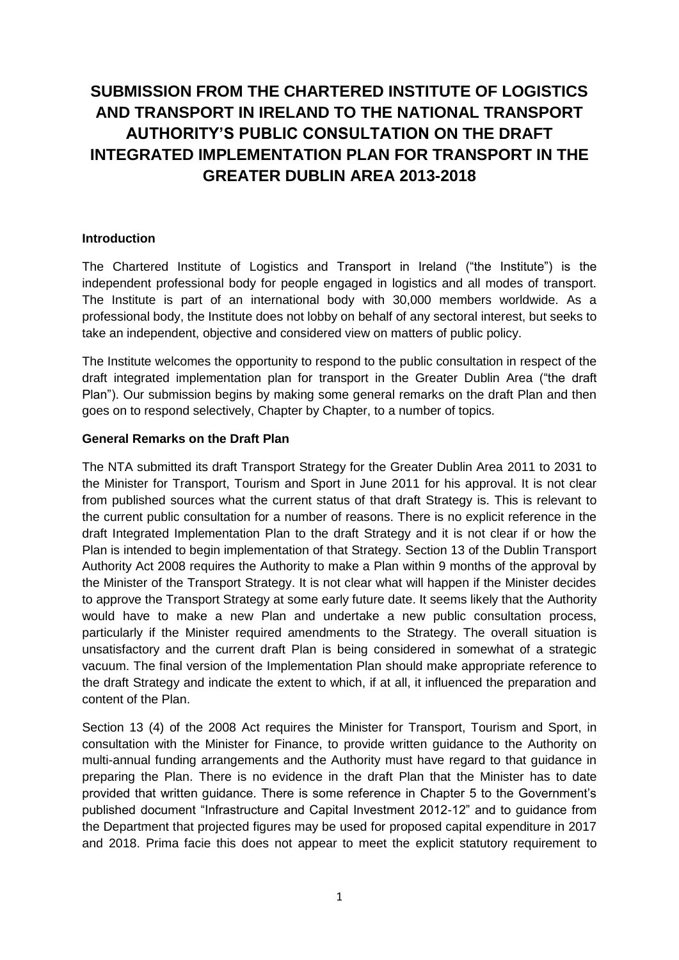# **SUBMISSION FROM THE CHARTERED INSTITUTE OF LOGISTICS AND TRANSPORT IN IRELAND TO THE NATIONAL TRANSPORT AUTHORITY'S PUBLIC CONSULTATION ON THE DRAFT INTEGRATED IMPLEMENTATION PLAN FOR TRANSPORT IN THE GREATER DUBLIN AREA 2013-2018**

### **Introduction**

The Chartered Institute of Logistics and Transport in Ireland ("the Institute") is the independent professional body for people engaged in logistics and all modes of transport. The Institute is part of an international body with 30,000 members worldwide. As a professional body, the Institute does not lobby on behalf of any sectoral interest, but seeks to take an independent, objective and considered view on matters of public policy.

The Institute welcomes the opportunity to respond to the public consultation in respect of the draft integrated implementation plan for transport in the Greater Dublin Area ("the draft Plan"). Our submission begins by making some general remarks on the draft Plan and then goes on to respond selectively, Chapter by Chapter, to a number of topics.

## **General Remarks on the Draft Plan**

The NTA submitted its draft Transport Strategy for the Greater Dublin Area 2011 to 2031 to the Minister for Transport, Tourism and Sport in June 2011 for his approval. It is not clear from published sources what the current status of that draft Strategy is. This is relevant to the current public consultation for a number of reasons. There is no explicit reference in the draft Integrated Implementation Plan to the draft Strategy and it is not clear if or how the Plan is intended to begin implementation of that Strategy. Section 13 of the Dublin Transport Authority Act 2008 requires the Authority to make a Plan within 9 months of the approval by the Minister of the Transport Strategy. It is not clear what will happen if the Minister decides to approve the Transport Strategy at some early future date. It seems likely that the Authority would have to make a new Plan and undertake a new public consultation process, particularly if the Minister required amendments to the Strategy. The overall situation is unsatisfactory and the current draft Plan is being considered in somewhat of a strategic vacuum. The final version of the Implementation Plan should make appropriate reference to the draft Strategy and indicate the extent to which, if at all, it influenced the preparation and content of the Plan.

Section 13 (4) of the 2008 Act requires the Minister for Transport, Tourism and Sport, in consultation with the Minister for Finance, to provide written guidance to the Authority on multi-annual funding arrangements and the Authority must have regard to that guidance in preparing the Plan. There is no evidence in the draft Plan that the Minister has to date provided that written guidance. There is some reference in Chapter 5 to the Government's published document "Infrastructure and Capital Investment 2012-12" and to guidance from the Department that projected figures may be used for proposed capital expenditure in 2017 and 2018. Prima facie this does not appear to meet the explicit statutory requirement to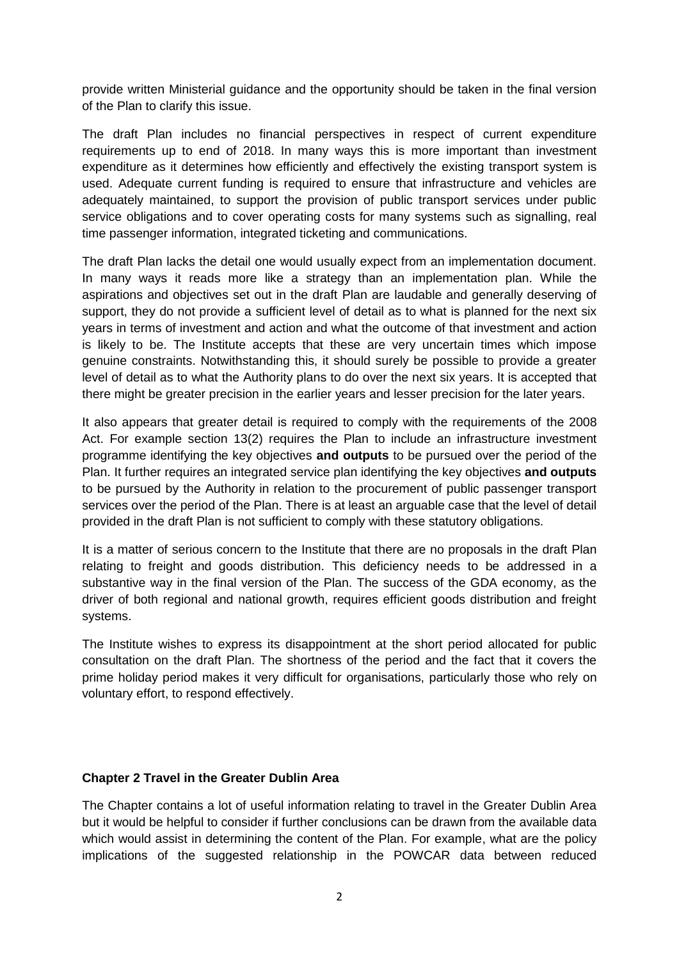provide written Ministerial guidance and the opportunity should be taken in the final version of the Plan to clarify this issue.

The draft Plan includes no financial perspectives in respect of current expenditure requirements up to end of 2018. In many ways this is more important than investment expenditure as it determines how efficiently and effectively the existing transport system is used. Adequate current funding is required to ensure that infrastructure and vehicles are adequately maintained, to support the provision of public transport services under public service obligations and to cover operating costs for many systems such as signalling, real time passenger information, integrated ticketing and communications.

The draft Plan lacks the detail one would usually expect from an implementation document. In many ways it reads more like a strategy than an implementation plan. While the aspirations and objectives set out in the draft Plan are laudable and generally deserving of support, they do not provide a sufficient level of detail as to what is planned for the next six years in terms of investment and action and what the outcome of that investment and action is likely to be. The Institute accepts that these are very uncertain times which impose genuine constraints. Notwithstanding this, it should surely be possible to provide a greater level of detail as to what the Authority plans to do over the next six years. It is accepted that there might be greater precision in the earlier years and lesser precision for the later years.

It also appears that greater detail is required to comply with the requirements of the 2008 Act. For example section 13(2) requires the Plan to include an infrastructure investment programme identifying the key objectives **and outputs** to be pursued over the period of the Plan. It further requires an integrated service plan identifying the key objectives **and outputs**  to be pursued by the Authority in relation to the procurement of public passenger transport services over the period of the Plan. There is at least an arguable case that the level of detail provided in the draft Plan is not sufficient to comply with these statutory obligations.

It is a matter of serious concern to the Institute that there are no proposals in the draft Plan relating to freight and goods distribution. This deficiency needs to be addressed in a substantive way in the final version of the Plan. The success of the GDA economy, as the driver of both regional and national growth, requires efficient goods distribution and freight systems.

The Institute wishes to express its disappointment at the short period allocated for public consultation on the draft Plan. The shortness of the period and the fact that it covers the prime holiday period makes it very difficult for organisations, particularly those who rely on voluntary effort, to respond effectively.

#### **Chapter 2 Travel in the Greater Dublin Area**

The Chapter contains a lot of useful information relating to travel in the Greater Dublin Area but it would be helpful to consider if further conclusions can be drawn from the available data which would assist in determining the content of the Plan. For example, what are the policy implications of the suggested relationship in the POWCAR data between reduced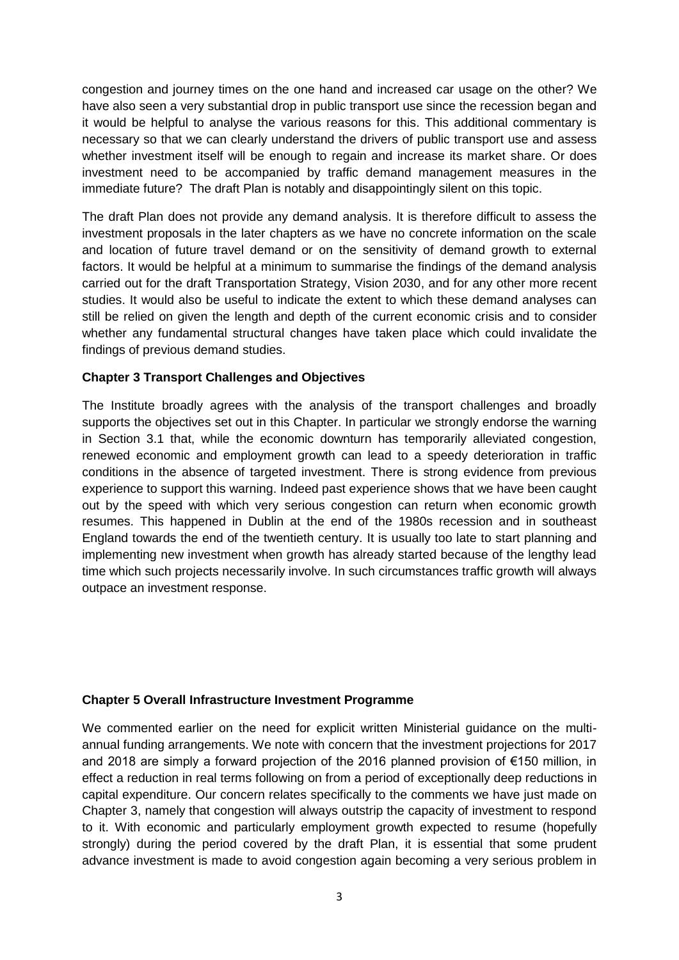congestion and journey times on the one hand and increased car usage on the other? We have also seen a very substantial drop in public transport use since the recession began and it would be helpful to analyse the various reasons for this. This additional commentary is necessary so that we can clearly understand the drivers of public transport use and assess whether investment itself will be enough to regain and increase its market share. Or does investment need to be accompanied by traffic demand management measures in the immediate future? The draft Plan is notably and disappointingly silent on this topic.

The draft Plan does not provide any demand analysis. It is therefore difficult to assess the investment proposals in the later chapters as we have no concrete information on the scale and location of future travel demand or on the sensitivity of demand growth to external factors. It would be helpful at a minimum to summarise the findings of the demand analysis carried out for the draft Transportation Strategy, Vision 2030, and for any other more recent studies. It would also be useful to indicate the extent to which these demand analyses can still be relied on given the length and depth of the current economic crisis and to consider whether any fundamental structural changes have taken place which could invalidate the findings of previous demand studies.

## **Chapter 3 Transport Challenges and Objectives**

The Institute broadly agrees with the analysis of the transport challenges and broadly supports the objectives set out in this Chapter. In particular we strongly endorse the warning in Section 3.1 that, while the economic downturn has temporarily alleviated congestion, renewed economic and employment growth can lead to a speedy deterioration in traffic conditions in the absence of targeted investment. There is strong evidence from previous experience to support this warning. Indeed past experience shows that we have been caught out by the speed with which very serious congestion can return when economic growth resumes. This happened in Dublin at the end of the 1980s recession and in southeast England towards the end of the twentieth century. It is usually too late to start planning and implementing new investment when growth has already started because of the lengthy lead time which such projects necessarily involve. In such circumstances traffic growth will always outpace an investment response.

#### **Chapter 5 Overall Infrastructure Investment Programme**

We commented earlier on the need for explicit written Ministerial guidance on the multiannual funding arrangements. We note with concern that the investment projections for 2017 and 2018 are simply a forward projection of the 2016 planned provision of €150 million, in effect a reduction in real terms following on from a period of exceptionally deep reductions in capital expenditure. Our concern relates specifically to the comments we have just made on Chapter 3, namely that congestion will always outstrip the capacity of investment to respond to it. With economic and particularly employment growth expected to resume (hopefully strongly) during the period covered by the draft Plan, it is essential that some prudent advance investment is made to avoid congestion again becoming a very serious problem in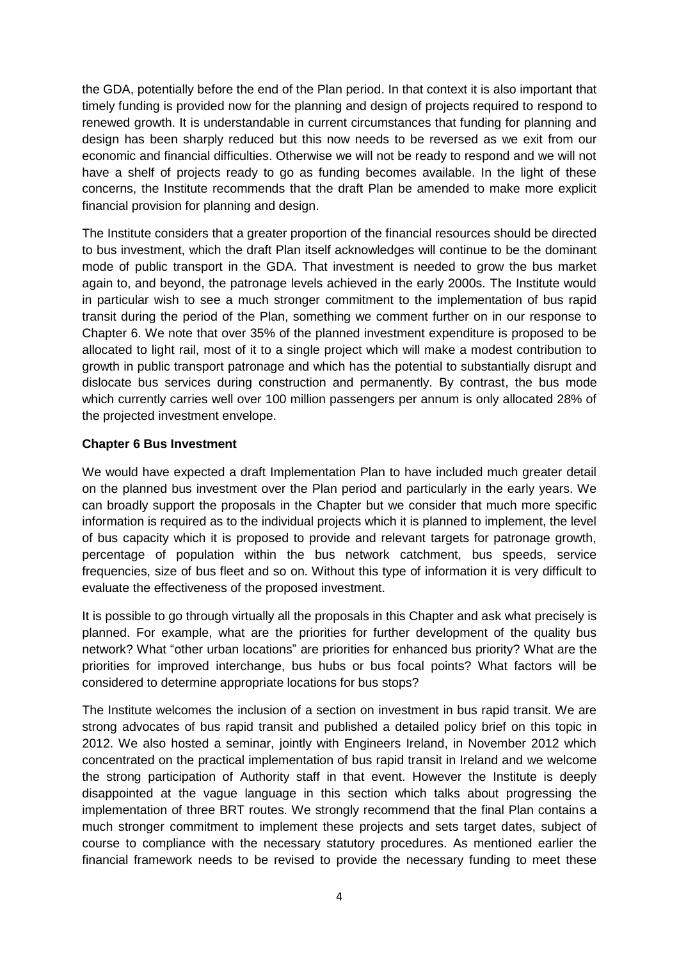the GDA, potentially before the end of the Plan period. In that context it is also important that timely funding is provided now for the planning and design of projects required to respond to renewed growth. It is understandable in current circumstances that funding for planning and design has been sharply reduced but this now needs to be reversed as we exit from our economic and financial difficulties. Otherwise we will not be ready to respond and we will not have a shelf of projects ready to go as funding becomes available. In the light of these concerns, the Institute recommends that the draft Plan be amended to make more explicit financial provision for planning and design.

The Institute considers that a greater proportion of the financial resources should be directed to bus investment, which the draft Plan itself acknowledges will continue to be the dominant mode of public transport in the GDA. That investment is needed to grow the bus market again to, and beyond, the patronage levels achieved in the early 2000s. The Institute would in particular wish to see a much stronger commitment to the implementation of bus rapid transit during the period of the Plan, something we comment further on in our response to Chapter 6. We note that over 35% of the planned investment expenditure is proposed to be allocated to light rail, most of it to a single project which will make a modest contribution to growth in public transport patronage and which has the potential to substantially disrupt and dislocate bus services during construction and permanently. By contrast, the bus mode which currently carries well over 100 million passengers per annum is only allocated 28% of the projected investment envelope.

## **Chapter 6 Bus Investment**

We would have expected a draft Implementation Plan to have included much greater detail on the planned bus investment over the Plan period and particularly in the early years. We can broadly support the proposals in the Chapter but we consider that much more specific information is required as to the individual projects which it is planned to implement, the level of bus capacity which it is proposed to provide and relevant targets for patronage growth, percentage of population within the bus network catchment, bus speeds, service frequencies, size of bus fleet and so on. Without this type of information it is very difficult to evaluate the effectiveness of the proposed investment.

It is possible to go through virtually all the proposals in this Chapter and ask what precisely is planned. For example, what are the priorities for further development of the quality bus network? What "other urban locations" are priorities for enhanced bus priority? What are the priorities for improved interchange, bus hubs or bus focal points? What factors will be considered to determine appropriate locations for bus stops?

The Institute welcomes the inclusion of a section on investment in bus rapid transit. We are strong advocates of bus rapid transit and published a detailed policy brief on this topic in 2012. We also hosted a seminar, jointly with Engineers Ireland, in November 2012 which concentrated on the practical implementation of bus rapid transit in Ireland and we welcome the strong participation of Authority staff in that event. However the Institute is deeply disappointed at the vague language in this section which talks about progressing the implementation of three BRT routes. We strongly recommend that the final Plan contains a much stronger commitment to implement these projects and sets target dates, subject of course to compliance with the necessary statutory procedures. As mentioned earlier the financial framework needs to be revised to provide the necessary funding to meet these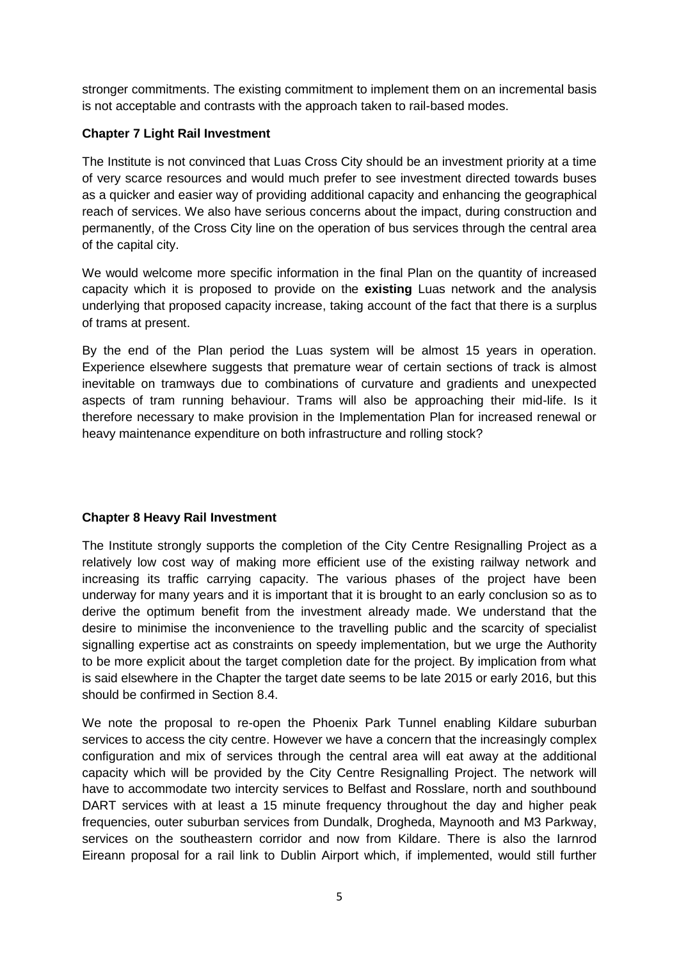stronger commitments. The existing commitment to implement them on an incremental basis is not acceptable and contrasts with the approach taken to rail-based modes.

# **Chapter 7 Light Rail Investment**

The Institute is not convinced that Luas Cross City should be an investment priority at a time of very scarce resources and would much prefer to see investment directed towards buses as a quicker and easier way of providing additional capacity and enhancing the geographical reach of services. We also have serious concerns about the impact, during construction and permanently, of the Cross City line on the operation of bus services through the central area of the capital city.

We would welcome more specific information in the final Plan on the quantity of increased capacity which it is proposed to provide on the **existing** Luas network and the analysis underlying that proposed capacity increase, taking account of the fact that there is a surplus of trams at present.

By the end of the Plan period the Luas system will be almost 15 years in operation. Experience elsewhere suggests that premature wear of certain sections of track is almost inevitable on tramways due to combinations of curvature and gradients and unexpected aspects of tram running behaviour. Trams will also be approaching their mid-life. Is it therefore necessary to make provision in the Implementation Plan for increased renewal or heavy maintenance expenditure on both infrastructure and rolling stock?

## **Chapter 8 Heavy Rail Investment**

The Institute strongly supports the completion of the City Centre Resignalling Project as a relatively low cost way of making more efficient use of the existing railway network and increasing its traffic carrying capacity. The various phases of the project have been underway for many years and it is important that it is brought to an early conclusion so as to derive the optimum benefit from the investment already made. We understand that the desire to minimise the inconvenience to the travelling public and the scarcity of specialist signalling expertise act as constraints on speedy implementation, but we urge the Authority to be more explicit about the target completion date for the project. By implication from what is said elsewhere in the Chapter the target date seems to be late 2015 or early 2016, but this should be confirmed in Section 8.4.

We note the proposal to re-open the Phoenix Park Tunnel enabling Kildare suburban services to access the city centre. However we have a concern that the increasingly complex configuration and mix of services through the central area will eat away at the additional capacity which will be provided by the City Centre Resignalling Project. The network will have to accommodate two intercity services to Belfast and Rosslare, north and southbound DART services with at least a 15 minute frequency throughout the day and higher peak frequencies, outer suburban services from Dundalk, Drogheda, Maynooth and M3 Parkway, services on the southeastern corridor and now from Kildare. There is also the Iarnrod Eireann proposal for a rail link to Dublin Airport which, if implemented, would still further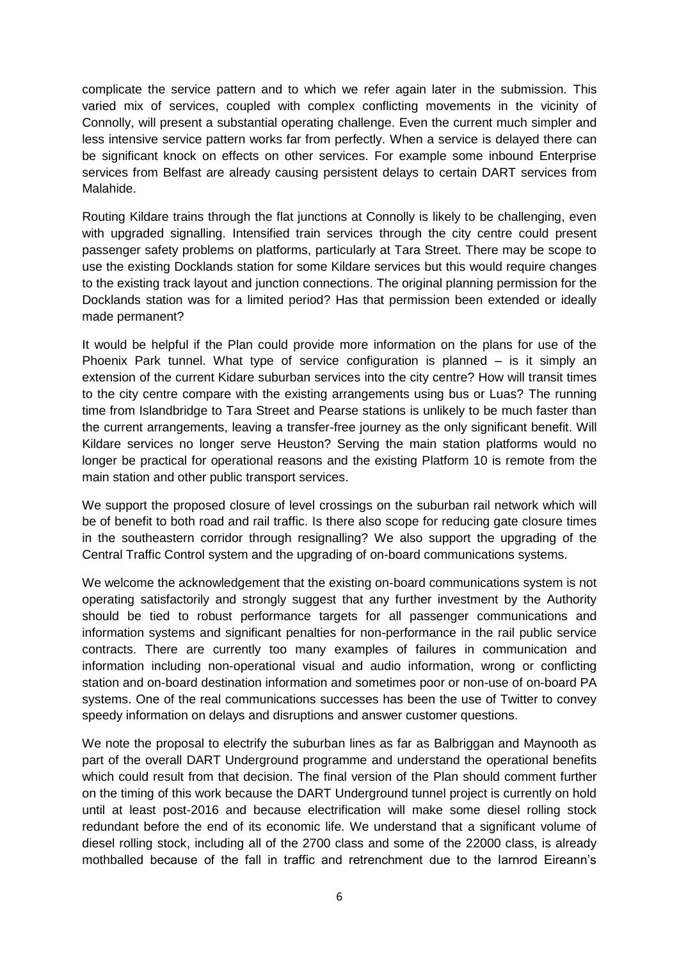complicate the service pattern and to which we refer again later in the submission. This varied mix of services, coupled with complex conflicting movements in the vicinity of Connolly, will present a substantial operating challenge. Even the current much simpler and less intensive service pattern works far from perfectly. When a service is delayed there can be significant knock on effects on other services. For example some inbound Enterprise services from Belfast are already causing persistent delays to certain DART services from Malahide.

Routing Kildare trains through the flat junctions at Connolly is likely to be challenging, even with upgraded signalling. Intensified train services through the city centre could present passenger safety problems on platforms, particularly at Tara Street. There may be scope to use the existing Docklands station for some Kildare services but this would require changes to the existing track layout and junction connections. The original planning permission for the Docklands station was for a limited period? Has that permission been extended or ideally made permanent?

It would be helpful if the Plan could provide more information on the plans for use of the Phoenix Park tunnel. What type of service configuration is planned – is it simply an extension of the current Kidare suburban services into the city centre? How will transit times to the city centre compare with the existing arrangements using bus or Luas? The running time from Islandbridge to Tara Street and Pearse stations is unlikely to be much faster than the current arrangements, leaving a transfer-free journey as the only significant benefit. Will Kildare services no longer serve Heuston? Serving the main station platforms would no longer be practical for operational reasons and the existing Platform 10 is remote from the main station and other public transport services.

We support the proposed closure of level crossings on the suburban rail network which will be of benefit to both road and rail traffic. Is there also scope for reducing gate closure times in the southeastern corridor through resignalling? We also support the upgrading of the Central Traffic Control system and the upgrading of on-board communications systems.

We welcome the acknowledgement that the existing on-board communications system is not operating satisfactorily and strongly suggest that any further investment by the Authority should be tied to robust performance targets for all passenger communications and information systems and significant penalties for non-performance in the rail public service contracts. There are currently too many examples of failures in communication and information including non-operational visual and audio information, wrong or conflicting station and on-board destination information and sometimes poor or non-use of on-board PA systems. One of the real communications successes has been the use of Twitter to convey speedy information on delays and disruptions and answer customer questions.

We note the proposal to electrify the suburban lines as far as Balbriggan and Maynooth as part of the overall DART Underground programme and understand the operational benefits which could result from that decision. The final version of the Plan should comment further on the timing of this work because the DART Underground tunnel project is currently on hold until at least post-2016 and because electrification will make some diesel rolling stock redundant before the end of its economic life. We understand that a significant volume of diesel rolling stock, including all of the 2700 class and some of the 22000 class, is already mothballed because of the fall in traffic and retrenchment due to the Iarnrod Eireann's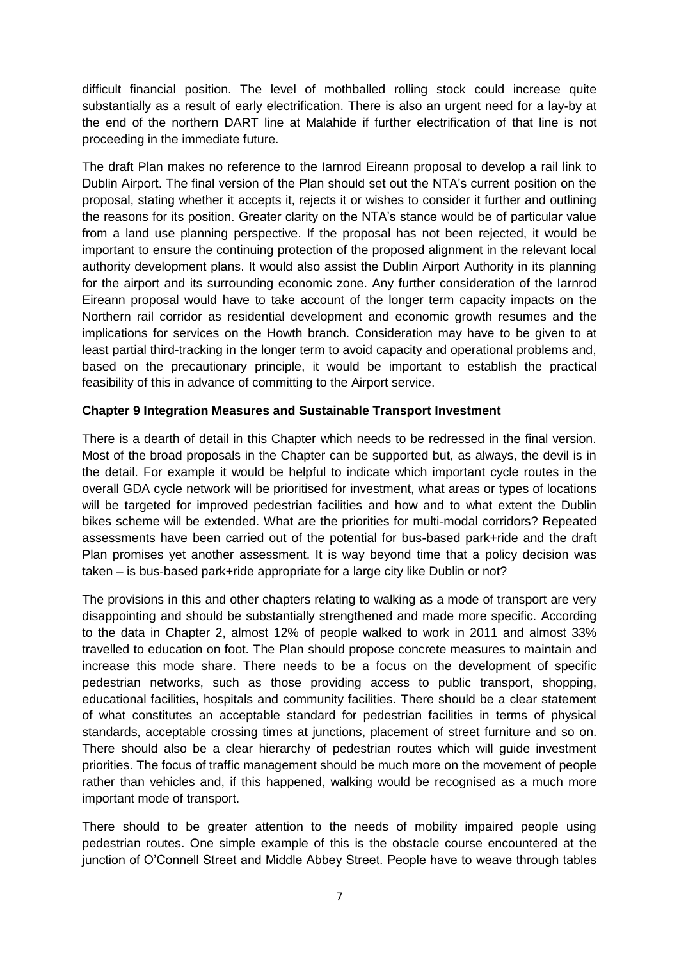difficult financial position. The level of mothballed rolling stock could increase quite substantially as a result of early electrification. There is also an urgent need for a lay-by at the end of the northern DART line at Malahide if further electrification of that line is not proceeding in the immediate future.

The draft Plan makes no reference to the Iarnrod Eireann proposal to develop a rail link to Dublin Airport. The final version of the Plan should set out the NTA's current position on the proposal, stating whether it accepts it, rejects it or wishes to consider it further and outlining the reasons for its position. Greater clarity on the NTA's stance would be of particular value from a land use planning perspective. If the proposal has not been rejected, it would be important to ensure the continuing protection of the proposed alignment in the relevant local authority development plans. It would also assist the Dublin Airport Authority in its planning for the airport and its surrounding economic zone. Any further consideration of the Iarnrod Eireann proposal would have to take account of the longer term capacity impacts on the Northern rail corridor as residential development and economic growth resumes and the implications for services on the Howth branch. Consideration may have to be given to at least partial third-tracking in the longer term to avoid capacity and operational problems and, based on the precautionary principle, it would be important to establish the practical feasibility of this in advance of committing to the Airport service.

## **Chapter 9 Integration Measures and Sustainable Transport Investment**

There is a dearth of detail in this Chapter which needs to be redressed in the final version. Most of the broad proposals in the Chapter can be supported but, as always, the devil is in the detail. For example it would be helpful to indicate which important cycle routes in the overall GDA cycle network will be prioritised for investment, what areas or types of locations will be targeted for improved pedestrian facilities and how and to what extent the Dublin bikes scheme will be extended. What are the priorities for multi-modal corridors? Repeated assessments have been carried out of the potential for bus-based park+ride and the draft Plan promises yet another assessment. It is way beyond time that a policy decision was taken – is bus-based park+ride appropriate for a large city like Dublin or not?

The provisions in this and other chapters relating to walking as a mode of transport are very disappointing and should be substantially strengthened and made more specific. According to the data in Chapter 2, almost 12% of people walked to work in 2011 and almost 33% travelled to education on foot. The Plan should propose concrete measures to maintain and increase this mode share. There needs to be a focus on the development of specific pedestrian networks, such as those providing access to public transport, shopping, educational facilities, hospitals and community facilities. There should be a clear statement of what constitutes an acceptable standard for pedestrian facilities in terms of physical standards, acceptable crossing times at junctions, placement of street furniture and so on. There should also be a clear hierarchy of pedestrian routes which will guide investment priorities. The focus of traffic management should be much more on the movement of people rather than vehicles and, if this happened, walking would be recognised as a much more important mode of transport.

There should to be greater attention to the needs of mobility impaired people using pedestrian routes. One simple example of this is the obstacle course encountered at the junction of O'Connell Street and Middle Abbey Street. People have to weave through tables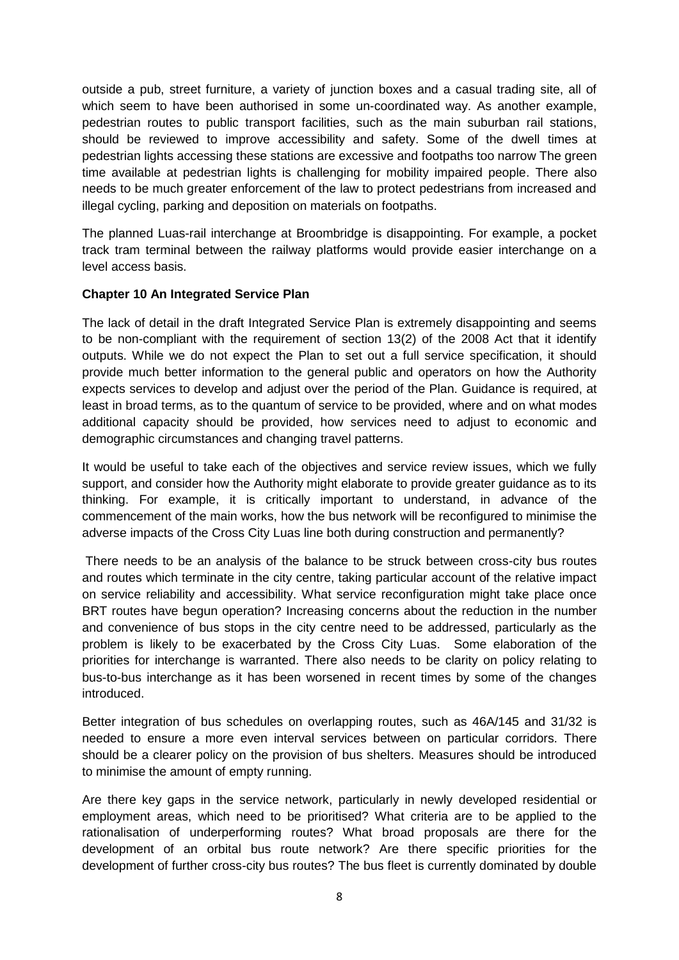outside a pub, street furniture, a variety of junction boxes and a casual trading site, all of which seem to have been authorised in some un-coordinated way. As another example, pedestrian routes to public transport facilities, such as the main suburban rail stations, should be reviewed to improve accessibility and safety. Some of the dwell times at pedestrian lights accessing these stations are excessive and footpaths too narrow The green time available at pedestrian lights is challenging for mobility impaired people. There also needs to be much greater enforcement of the law to protect pedestrians from increased and illegal cycling, parking and deposition on materials on footpaths.

The planned Luas-rail interchange at Broombridge is disappointing. For example, a pocket track tram terminal between the railway platforms would provide easier interchange on a level access basis.

## **Chapter 10 An Integrated Service Plan**

The lack of detail in the draft Integrated Service Plan is extremely disappointing and seems to be non-compliant with the requirement of section 13(2) of the 2008 Act that it identify outputs. While we do not expect the Plan to set out a full service specification, it should provide much better information to the general public and operators on how the Authority expects services to develop and adjust over the period of the Plan. Guidance is required, at least in broad terms, as to the quantum of service to be provided, where and on what modes additional capacity should be provided, how services need to adjust to economic and demographic circumstances and changing travel patterns.

It would be useful to take each of the objectives and service review issues, which we fully support, and consider how the Authority might elaborate to provide greater guidance as to its thinking. For example, it is critically important to understand, in advance of the commencement of the main works, how the bus network will be reconfigured to minimise the adverse impacts of the Cross City Luas line both during construction and permanently?

There needs to be an analysis of the balance to be struck between cross-city bus routes and routes which terminate in the city centre, taking particular account of the relative impact on service reliability and accessibility. What service reconfiguration might take place once BRT routes have begun operation? Increasing concerns about the reduction in the number and convenience of bus stops in the city centre need to be addressed, particularly as the problem is likely to be exacerbated by the Cross City Luas. Some elaboration of the priorities for interchange is warranted. There also needs to be clarity on policy relating to bus-to-bus interchange as it has been worsened in recent times by some of the changes introduced.

Better integration of bus schedules on overlapping routes, such as 46A/145 and 31/32 is needed to ensure a more even interval services between on particular corridors. There should be a clearer policy on the provision of bus shelters. Measures should be introduced to minimise the amount of empty running.

Are there key gaps in the service network, particularly in newly developed residential or employment areas, which need to be prioritised? What criteria are to be applied to the rationalisation of underperforming routes? What broad proposals are there for the development of an orbital bus route network? Are there specific priorities for the development of further cross-city bus routes? The bus fleet is currently dominated by double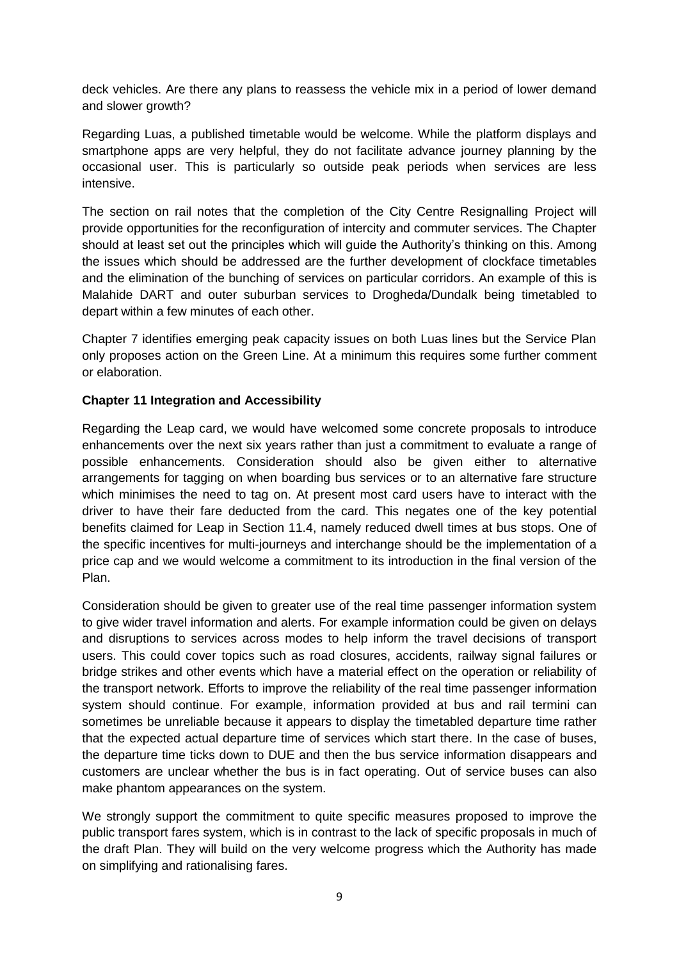deck vehicles. Are there any plans to reassess the vehicle mix in a period of lower demand and slower growth?

Regarding Luas, a published timetable would be welcome. While the platform displays and smartphone apps are very helpful, they do not facilitate advance journey planning by the occasional user. This is particularly so outside peak periods when services are less intensive.

The section on rail notes that the completion of the City Centre Resignalling Project will provide opportunities for the reconfiguration of intercity and commuter services. The Chapter should at least set out the principles which will guide the Authority's thinking on this. Among the issues which should be addressed are the further development of clockface timetables and the elimination of the bunching of services on particular corridors. An example of this is Malahide DART and outer suburban services to Drogheda/Dundalk being timetabled to depart within a few minutes of each other.

Chapter 7 identifies emerging peak capacity issues on both Luas lines but the Service Plan only proposes action on the Green Line. At a minimum this requires some further comment or elaboration.

## **Chapter 11 Integration and Accessibility**

Regarding the Leap card, we would have welcomed some concrete proposals to introduce enhancements over the next six years rather than just a commitment to evaluate a range of possible enhancements. Consideration should also be given either to alternative arrangements for tagging on when boarding bus services or to an alternative fare structure which minimises the need to tag on. At present most card users have to interact with the driver to have their fare deducted from the card. This negates one of the key potential benefits claimed for Leap in Section 11.4, namely reduced dwell times at bus stops. One of the specific incentives for multi-journeys and interchange should be the implementation of a price cap and we would welcome a commitment to its introduction in the final version of the Plan.

Consideration should be given to greater use of the real time passenger information system to give wider travel information and alerts. For example information could be given on delays and disruptions to services across modes to help inform the travel decisions of transport users. This could cover topics such as road closures, accidents, railway signal failures or bridge strikes and other events which have a material effect on the operation or reliability of the transport network. Efforts to improve the reliability of the real time passenger information system should continue. For example, information provided at bus and rail termini can sometimes be unreliable because it appears to display the timetabled departure time rather that the expected actual departure time of services which start there. In the case of buses, the departure time ticks down to DUE and then the bus service information disappears and customers are unclear whether the bus is in fact operating. Out of service buses can also make phantom appearances on the system.

We strongly support the commitment to quite specific measures proposed to improve the public transport fares system, which is in contrast to the lack of specific proposals in much of the draft Plan. They will build on the very welcome progress which the Authority has made on simplifying and rationalising fares.